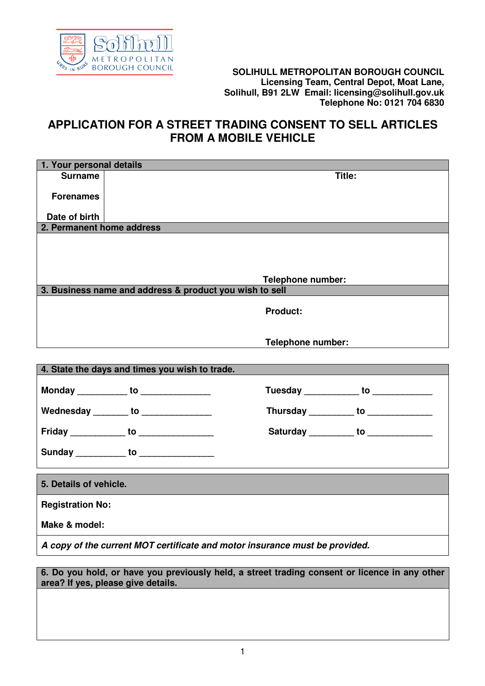

## **BOROUGH COUNCIL SOLIHULL METROPOLITAN BOROUGH COUNCIL Licensing Team, Central Depot, Moat Lane, Solihull, B91 2LW Email: licensing@solihull.gov.uk Telephone No: 0121 704 6830**

## **APPLICATION FOR A STREET TRADING CONSENT TO SELL ARTICLES FROM A MOBILE VEHICLE**

| 1. Your personal details                                                    |                                                         |                                      |                                      |  |
|-----------------------------------------------------------------------------|---------------------------------------------------------|--------------------------------------|--------------------------------------|--|
| <b>Surname</b>                                                              |                                                         | Title:                               |                                      |  |
| <b>Forenames</b>                                                            |                                                         |                                      |                                      |  |
|                                                                             |                                                         |                                      |                                      |  |
| Date of birth                                                               |                                                         |                                      |                                      |  |
| 2. Permanent home address                                                   |                                                         |                                      |                                      |  |
|                                                                             |                                                         |                                      |                                      |  |
|                                                                             |                                                         |                                      |                                      |  |
|                                                                             |                                                         |                                      |                                      |  |
|                                                                             | 3. Business name and address & product you wish to sell | Telephone number:                    |                                      |  |
|                                                                             |                                                         |                                      |                                      |  |
|                                                                             |                                                         | <b>Product:</b>                      |                                      |  |
|                                                                             |                                                         |                                      |                                      |  |
|                                                                             |                                                         | <b>Telephone number:</b>             |                                      |  |
|                                                                             |                                                         |                                      |                                      |  |
|                                                                             | 4. State the days and times you wish to trade.          |                                      |                                      |  |
|                                                                             |                                                         |                                      |                                      |  |
|                                                                             | Monday ____________ to _______________                  | Tuesday ____________ to ____________ |                                      |  |
|                                                                             | Wednesday ________ to _______________                   | Thursday __________ to _____________ |                                      |  |
|                                                                             |                                                         |                                      |                                      |  |
|                                                                             | Friday _____________ to _________________               |                                      | Saturday __________ to _____________ |  |
|                                                                             | Sunday ___________ to ______________                    |                                      |                                      |  |
|                                                                             |                                                         |                                      |                                      |  |
| 5. Details of vehicle.                                                      |                                                         |                                      |                                      |  |
| <b>Registration No:</b>                                                     |                                                         |                                      |                                      |  |
| Make & model:                                                               |                                                         |                                      |                                      |  |
| A copy of the current MOT certificate and motor insurance must be provided. |                                                         |                                      |                                      |  |

**6. Do you hold, or have you previously held, a street trading consent or licence in any other area? If yes, please give details.**